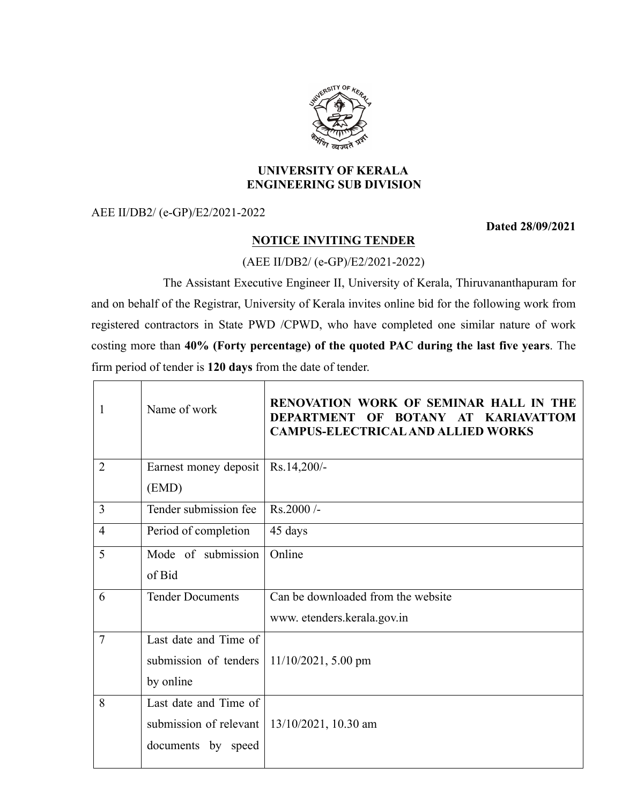

## **UNIVERSITY OF KERALA ENGINEERING SUB DIVISION**

AEE II/DB2/ (e-GP)/E2/2021-2022

**Dated 28/09/2021**

## **NOTICE INVITING TENDER**

(AEE II/DB2/ (e-GP)/E2/2021-2022)

The Assistant Executive Engineer II, University of Kerala, Thiruvananthapuram for and on behalf of the Registrar, University of Kerala invites online bid for the following work from registered contractors in State PWD /CPWD, who have completed one similar nature of work costing more than **40% (Forty percentage) of the quoted PAC during the last five years**. The firm period of tender is **120 days** from the date of tender.

| $\mathbf{1}$   | Name of work                                     | RENOVATION WORK OF SEMINAR HALL IN THE<br>DEPARTMENT OF BOTANY AT KARIAVATTOM<br><b>CAMPUS-ELECTRICAL AND ALLIED WORKS</b> |  |
|----------------|--------------------------------------------------|----------------------------------------------------------------------------------------------------------------------------|--|
| $\overline{2}$ | Earnest money deposit                            | Rs.14,200/-                                                                                                                |  |
|                | (EMD)                                            |                                                                                                                            |  |
| 3              | Tender submission fee                            | $Rs.2000/-$                                                                                                                |  |
| $\overline{4}$ | Period of completion                             | 45 days                                                                                                                    |  |
| 5              | Mode of submission                               | Online                                                                                                                     |  |
|                | of Bid                                           |                                                                                                                            |  |
| 6              | <b>Tender Documents</b>                          | Can be downloaded from the website                                                                                         |  |
|                |                                                  | www.etenders.kerala.gov.in                                                                                                 |  |
| 7              | Last date and Time of                            |                                                                                                                            |  |
|                | submission of tenders                            | $11/10/2021$ , 5.00 pm                                                                                                     |  |
|                | by online                                        |                                                                                                                            |  |
| 8              | Last date and Time of                            |                                                                                                                            |  |
|                | submission of relevant   $13/10/2021$ , 10.30 am |                                                                                                                            |  |
|                | documents by speed                               |                                                                                                                            |  |
|                |                                                  |                                                                                                                            |  |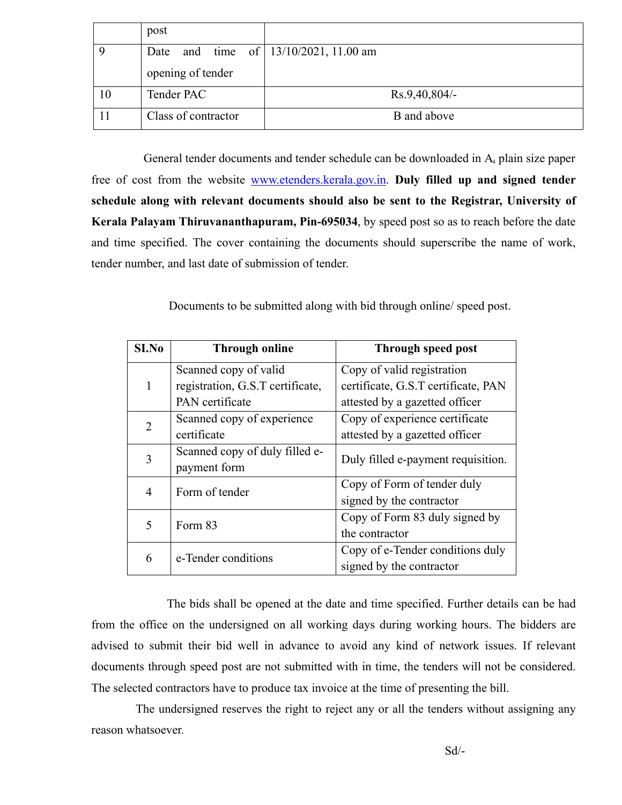|    | post                |                                     |
|----|---------------------|-------------------------------------|
|    | Date                | and time of $13/10/2021$ , 11.00 am |
|    | opening of tender   |                                     |
| 10 | Tender PAC          | $Rs.9,40,804/-$                     |
|    | Class of contractor | B and above                         |

General tender documents and tender schedule can be downloaded in A<sub>4</sub> plain size paper free of cost from the website www.etenders.kerala.gov.in. **Duly filled up and signed tender schedule along with relevant documents should also be sent to the Registrar, University of Kerala Palayam Thiruvananthapuram, Pin-695034**, by speed post so as to reach before the date and time specified. The cover containing the documents should superscribe the name of work, tender number, and last date of submission of tender.

Documents to be submitted along with bid through online/ speed post.

| S <sub>I.No</sub>        | <b>Through online</b>            | Through speed post                  |
|--------------------------|----------------------------------|-------------------------------------|
|                          | Scanned copy of valid            | Copy of valid registration          |
|                          | registration, G.S.T certificate, | certificate, G.S.T certificate, PAN |
|                          | PAN certificate                  | attested by a gazetted officer      |
| 2                        | Scanned copy of experience       | Copy of experience certificate      |
|                          | certificate                      | attested by a gazetted officer      |
| 3                        | Scanned copy of duly filled e-   | Duly filled e-payment requisition.  |
|                          | payment form                     |                                     |
| 4                        | Form of tender                   | Copy of Form of tender duly         |
|                          |                                  | signed by the contractor            |
| $\overline{\mathcal{L}}$ | Form 83                          | Copy of Form 83 duly signed by      |
|                          |                                  | the contractor                      |
| 6                        | e-Tender conditions              | Copy of e-Tender conditions duly    |
|                          |                                  | signed by the contractor            |

The bids shall be opened at the date and time specified. Further details can be had from the office on the undersigned on all working days during working hours. The bidders are advised to submit their bid well in advance to avoid any kind of network issues. If relevant documents through speed post are not submitted with in time, the tenders will not be considered. The selected contractors have to produce tax invoice at the time of presenting the bill.

The undersigned reserves the right to reject any or all the tenders without assigning any reason whatsoever.